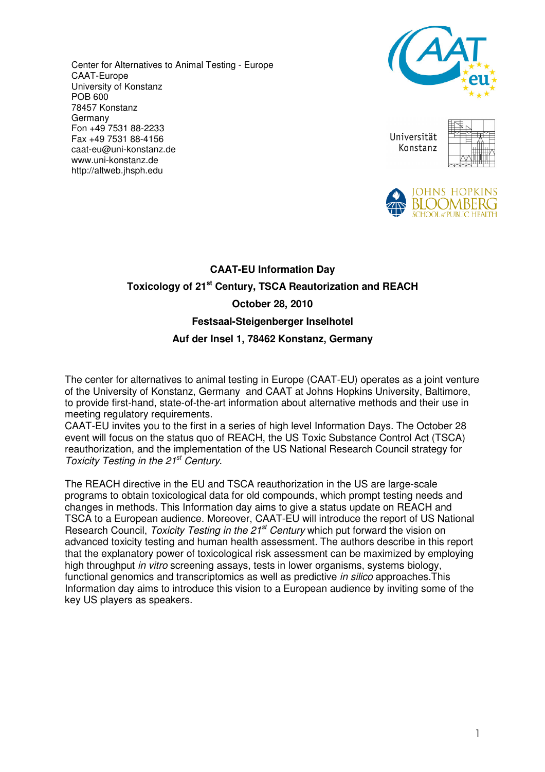Center for Alternatives to Animal Testing - Europe CAAT-Europe University of Konstanz POB 600 78457 Konstanz Germany Fon +49 7531 88-2233 Fax +49 7531 88-4156 caat-eu@uni-konstanz.de www.uni-konstanz.de http://altweb.jhsph.edu



Universität Konstanz





## **CAAT-EU Information Day Toxicology of 21st Century, TSCA Reautorization and REACH October 28, 2010 Festsaal-Steigenberger Inselhotel Auf der Insel 1, 78462 Konstanz, Germany**

The center for alternatives to animal testing in Europe (CAAT-EU) operates as a joint venture of the University of Konstanz, Germany and CAAT at Johns Hopkins University, Baltimore, to provide first-hand, state-of-the-art information about alternative methods and their use in meeting regulatory requirements.

CAAT-EU invites you to the first in a series of high level Information Days. The October 28 event will focus on the status quo of REACH, the US Toxic Substance Control Act (TSCA) reauthorization, and the implementation of the US National Research Council strategy for Toxicity Testing in the 21<sup>st</sup> Century.

The REACH directive in the EU and TSCA reauthorization in the US are large-scale programs to obtain toxicological data for old compounds, which prompt testing needs and changes in methods. This Information day aims to give a status update on REACH and TSCA to a European audience. Moreover, CAAT-EU will introduce the report of US National Research Council, Toxicity Testing in the 21<sup>st</sup> Century which put forward the vision on advanced toxicity testing and human health assessment. The authors describe in this report that the explanatory power of toxicological risk assessment can be maximized by employing high throughput in vitro screening assays, tests in lower organisms, systems biology, functional genomics and transcriptomics as well as predictive in silico approaches.This Information day aims to introduce this vision to a European audience by inviting some of the key US players as speakers.